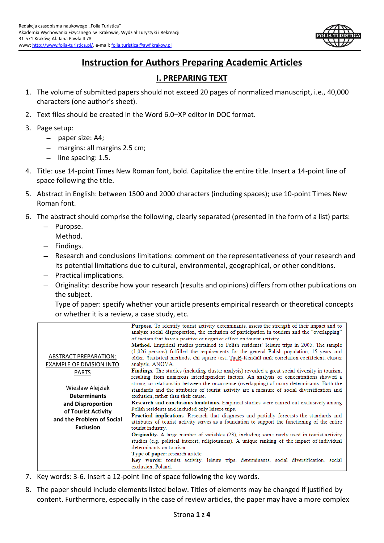

# **Instruction for Authors Preparing Academic Articles**

# **I. PREPARING TEXT**

- 1. The volume of submitted papers should not exceed 20 pages of normalized manuscript, i.e., 40,000 characters (one author's sheet).
- 2. Text files should be created in the Word 6.0–XP editor in DOC format.
- 3. Page setup:
	- paper size: A4;
	- margins: all margins 2.5 cm;
	- $-$  line spacing: 1.5.
- 4. Title: use 14-point Times New Roman font, bold. Capitalize the entire title. Insert a 14-point line of space following the title.
- 5. Abstract in English: between 1500 and 2000 characters (including spaces); use 10-point Times New Roman font.
- 6. The abstract should comprise the following, clearly separated (presented in the form of a list) parts:
	- Puropse.
	- Method.
	- $-$  Findings.
	- Research and conclusions limitations: comment on the representativeness of your research and its potential limitations due to cultural, environmental, geographical, or other conditions.
	- Practical implications.
	- Originality: describe how your research (results and opinions) differs from other publications on the subject.
	- Type of paper: specify whether your article presents empirical research or theoretical concepts or whether it is a review, a case study, etc.

| <b>ABSTRACT PREPARATION:</b><br><b>EXAMPLE OF DIVISION INTO</b><br><b>PARTS</b>                                                             | Purpose. To identify tourist activity determinants, assess the strength of their impact and to<br>analyze social disproportion, the exclusion of participation in tourism and the "overlapping"<br>of factors that have a positive or negative effect on tourist activity.<br>Method. Empirical studies pertained to Polish residents' leisure trips in 2005. The sample<br>(1.026 persons) fulfilled the requirements for the general Polish population, 15 years and<br>older. Statistical methods: chi square test, TauB-Kendall rank correlation coefficient, cluster<br>analysis, ANOVA.<br>Findings. The studies (including cluster analysis) revealed a great social diversity in tourism.<br>resulting from numerous interdependent factors. An analysis of concentrations showed a                                                                                                                                                                                                          |
|---------------------------------------------------------------------------------------------------------------------------------------------|------------------------------------------------------------------------------------------------------------------------------------------------------------------------------------------------------------------------------------------------------------------------------------------------------------------------------------------------------------------------------------------------------------------------------------------------------------------------------------------------------------------------------------------------------------------------------------------------------------------------------------------------------------------------------------------------------------------------------------------------------------------------------------------------------------------------------------------------------------------------------------------------------------------------------------------------------------------------------------------------------|
| <b>Wiesław Alejziak</b><br><b>Determinants</b><br>and Disproportion<br>of Tourist Activity<br>and the Problem of Social<br><b>Exclusion</b> | strong co-relationship between the occurrence (overlapping) of many determinants. Both the<br>standards and the attributes of tourist activity are a measure of social diversification and<br>exclusion, rather than their cause.<br>Research and conclusions limitations. Empirical studies were carried out exclusively among<br>Polish residents and included only leisure trips.<br>Practical implications. Research that diagnoses and partially forecasts the standards and<br>attributes of tourist activity serves as a foundation to support the functioning of the entire<br>tourist industry.<br><b>Originality.</b> A large number of variables (23), including some rarely used in tourist activity<br>studies (e.g. political interest, religiousness). A unique ranking of the impact of individual<br>determinants on tourism.<br>Type of paper: research article.<br>Key words: tourist activity, leisure trips, determinants, social diversification, social<br>exclusion, Poland. |

- 7. Key words: 3-6. Insert a 12-point line of space following the key words.
- 8. The paper should include elements listed below. Titles of elements may be changed if justified by content. Furthermore, especially in the case of review articles, the paper may have a more complex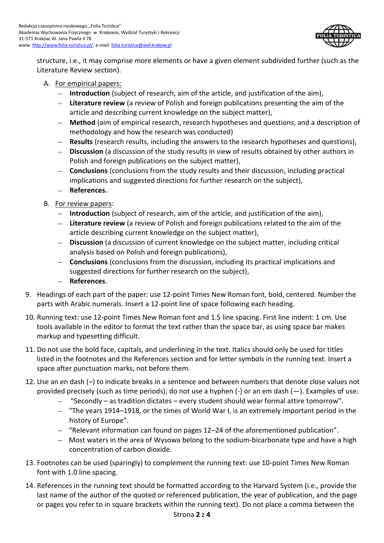

structure, i.e., it may comprise more elements or have a given element subdivided further (such as the Literature Review section).

### A. For empirical papers:

- **Introduction** (subject of research, aim of the article, and justification of the aim),
- **Literature review** (a review of Polish and foreign publications presenting the aim of the  $\equiv$  . article and describing current knowledge on the subject matter),
- $\equiv$ **Method** (aim of empirical research, research hypotheses and questions, and a description of methodology and how the research was conducted)
- $\equiv$ **Results** (research results, including the answers to the research hypotheses and questions),
- $-$ **Discussion** (a discussion of the study results in view of results obtained by other authors in Polish and foreign publications on the subject matter),
- **Conclusions** (conclusions from the study results and their discussion, including practical implications and suggested directions for further research on the subject),
- References.
- B. For review papers:
	- **Introduction** (subject of research, aim of the article, and justification of the aim),
	- **Literature review** (a review of Polish and foreign publications related to the aim of the article describing current knowledge on the subject matter),
	- **Discussion** (a discussion of current knowledge on the subject matter, including critical analysis based on Polish and foreign publications),
	- **Conclusions** (conclusions from the discussion, including its practical implications and  $\,$ suggested directions for further research on the subject),
	- **References**.
- 9. Headings of each part of the paper: use 12-point Times New Roman font, bold, centered. Number the parts with Arabic numerals. Insert a 12-point line of space following each heading.
- 10. Running text: use 12-point Times New Roman font and 1.5 line spacing. First line indent: 1 cm. Use tools available in the editor to format the text rather than the space bar, as using space bar makes markup and typesetting difficult.
- 11. Do not use the bold face, capitals, and underlining in the text. Italics should only be used for titles listed in the footnotes and the References section and for letter symbols in the running text. Insert a space after punctuation marks, not before them.
- 12. Use an en dash (–) to indicate breaks in a sentence and between numbers that denote close values not provided precisely (such as time periods); do not use a hyphen (-) or an em dash (—). Examples of use:
	- "Secondly as tradition dictates every student should wear formal attire tomorrow".
	- "The years 1914–1918, or the times of World War I, is an extremely important period in the history of Europe".
	- "Relevant information can found on pages 12–24 of the aforementioned publication".
	- Most waters in the area of Wysowa belong to the sodium-bicarbonate type and have a high concentration of carbon dioxide.
- 13. Footnotes can be used (sparingly) to complement the running text: use 10-point Times New Roman font with 1.0 line spacing.
- 14. References in the running text should be formatted according to the Harvard System (i.e., provide the last name of the author of the quoted or referenced publication, the year of publication, and the page or pages you refer to in square brackets within the running text). Do not place a comma between the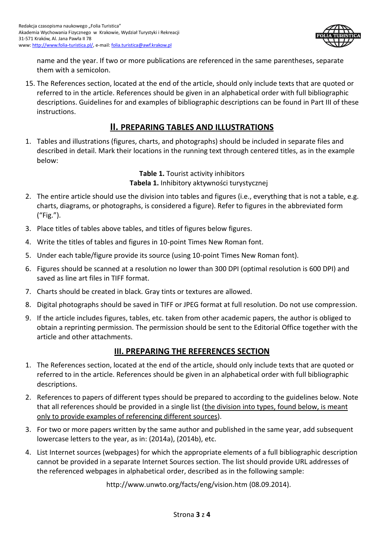

name and the year. If two or more publications are referenced in the same parentheses, separate them with a semicolon.

15. The References section, located at the end of the article, should only include texts that are quoted or referred to in the article. References should be given in an alphabetical order with full bibliographic descriptions. Guidelines for and examples of bibliographic descriptions can be found in Part III of these instructions.

## **II. PREPARING TABLES AND ILLUSTRATIONS**

1. Tables and illustrations (figures, charts, and photographs) should be included in separate files and described in detail. Mark their locations in the running text through centered titles, as in the example below:

> **Table 1.** Tourist activity inhibitors **Tabela 1.** Inhibitory aktywności turystycznej

- 2. The entire article should use the division into tables and figures (i.e., everything that is not a table, e.g. charts, diagrams, or photographs, is considered a figure). Refer to figures in the abbreviated form ("Fig.").
- 3. Place titles of tables above tables, and titles of figures below figures.
- 4. Write the titles of tables and figures in 10-point Times New Roman font.
- 5. Under each table/figure provide its source (using 10-point Times New Roman font).
- 6. Figures should be scanned at a resolution no lower than 300 DPI (optimal resolution is 600 DPI) and saved as line art files in TIFF format.
- 7. Charts should be created in black. Gray tints or textures are allowed.
- 8. Digital photographs should be saved in TIFF or JPEG format at full resolution. Do not use compression.
- 9. If the article includes figures, tables, etc. taken from other academic papers, the author is obliged to obtain a reprinting permission. The permission should be sent to the Editorial Office together with the article and other attachments.

## **III. PREPARING THE REFERENCES SECTION**

- 1. The References section, located at the end of the article, should only include texts that are quoted or referred to in the article. References should be given in an alphabetical order with full bibliographic descriptions.
- 2. References to papers of different types should be prepared to according to the guidelines below. Note that all references should be provided in a single list (the division into types, found below, is meant only to provide examples of referencing different sources).
- 3. For two or more papers written by the same author and published in the same year, add subsequent lowercase letters to the year, as in: (2014a), (2014b), etc.
- 4. List Internet sources (webpages) for which the appropriate elements of a full bibliographic description cannot be provided in a separate Internet Sources section. The list should provide URL addresses of the referenced webpages in alphabetical order, described as in the following sample:

http://www.unwto.org/facts/eng/vision.htm (08.09.2014).